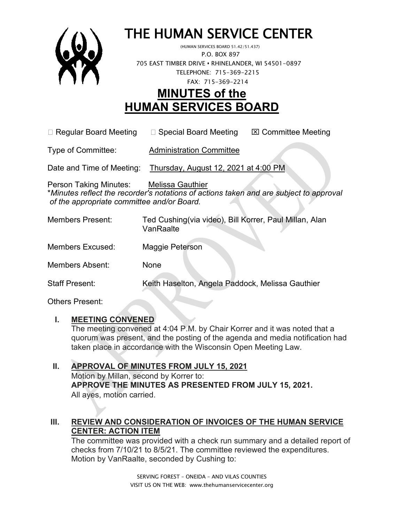

# THE HUMAN SERVICE CENTER (HUMAN SERVICES BOARD 51.42/51.437)

 P.O. BOX 897 705 EAST TIMBER DRIVE **•** RHINELANDER, WI 54501-0897 TELEPHONE: 715-369-2215 FAX: 715-369-2214

# **MINUTES of the HUMAN SERVICES BOARD**

 $\Box$  Regular Board Meeting  $\Box$  Special Board Meeting  $\Box$  Committee Meeting

Type of Committee: Administration Committee

Date and Time of Meeting: Thursday, August 12, 2021 at 4:00 PM

Person Taking Minutes: Melissa Gauthier \**Minutes reflect the recorder's notations of actions taken and are subject to approval of the appropriate committee and/or Board.*

| <b>Members Present:</b> | Ted Cushing(via video), Bill Korrer, Paul Millan, Alan<br>VanRaalte |
|-------------------------|---------------------------------------------------------------------|
| <b>Members Excused:</b> | Maggie Peterson                                                     |
| <b>Members Absent:</b>  | None                                                                |
| <b>Staff Present:</b>   | Keith Haselton, Angela Paddock, Melissa Gauthier                    |

Others Present:

# **I. MEETING CONVENED**

The meeting convened at 4:04 P.M. by Chair Korrer and it was noted that a quorum was present, and the posting of the agenda and media notification had taken place in accordance with the Wisconsin Open Meeting Law.

#### **II. APPROVAL OF MINUTES FROM JULY 15, 2021** Motion by Millan, second by Korrer to: **APPROVE THE MINUTES AS PRESENTED FROM JULY 15, 2021.**  All ayes, motion carried.

# **III. REVIEW AND CONSIDERATION OF INVOICES OF THE HUMAN SERVICE CENTER: ACTION ITEM**

The committee was provided with a check run summary and a detailed report of checks from 7/10/21 to 8/5/21. The committee reviewed the expenditures. Motion by VanRaalte, seconded by Cushing to: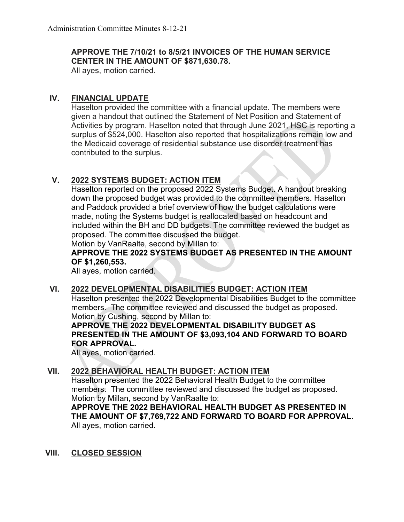#### **APPROVE THE 7/10/21 to 8/5/21 INVOICES OF THE HUMAN SERVICE CENTER IN THE AMOUNT OF \$871,630.78.**

All ayes, motion carried.

## **IV. FINANCIAL UPDATE**

Haselton provided the committee with a financial update. The members were given a handout that outlined the Statement of Net Position and Statement of Activities by program. Haselton noted that through June 2021, HSC is reporting a surplus of \$524,000. Haselton also reported that hospitalizations remain low and the Medicaid coverage of residential substance use disorder treatment has contributed to the surplus.

## **V. 2022 SYSTEMS BUDGET: ACTION ITEM**

Haselton reported on the proposed 2022 Systems Budget. A handout breaking down the proposed budget was provided to the committee members. Haselton and Paddock provided a brief overview of how the budget calculations were made, noting the Systems budget is reallocated based on headcount and included within the BH and DD budgets. The committee reviewed the budget as proposed. The committee discussed the budget.

Motion by VanRaalte, second by Millan to:

#### **APPROVE THE 2022 SYSTEMS BUDGET AS PRESENTED IN THE AMOUNT OF \$1,260,553.**

All ayes, motion carried.

#### **VI. 2022 DEVELOPMENTAL DISABILITIES BUDGET: ACTION ITEM**

Haselton presented the 2022 Developmental Disabilities Budget to the committee members. The committee reviewed and discussed the budget as proposed. Motion by Cushing, second by Millan to:

#### **APPROVE THE 2022 DEVELOPMENTAL DISABILITY BUDGET AS PRESENTED IN THE AMOUNT OF \$3,093,104 AND FORWARD TO BOARD FOR APPROVAL.**

All ayes, motion carried.

#### **VII. 2022 BEHAVIORAL HEALTH BUDGET: ACTION ITEM**

Haselton presented the 2022 Behavioral Health Budget to the committee members. The committee reviewed and discussed the budget as proposed. Motion by Millan, second by VanRaalte to:

**APPROVE THE 2022 BEHAVIORAL HEALTH BUDGET AS PRESENTED IN THE AMOUNT OF \$7,769,722 AND FORWARD TO BOARD FOR APPROVAL.** All ayes, motion carried.

#### **VIII. CLOSED SESSION**